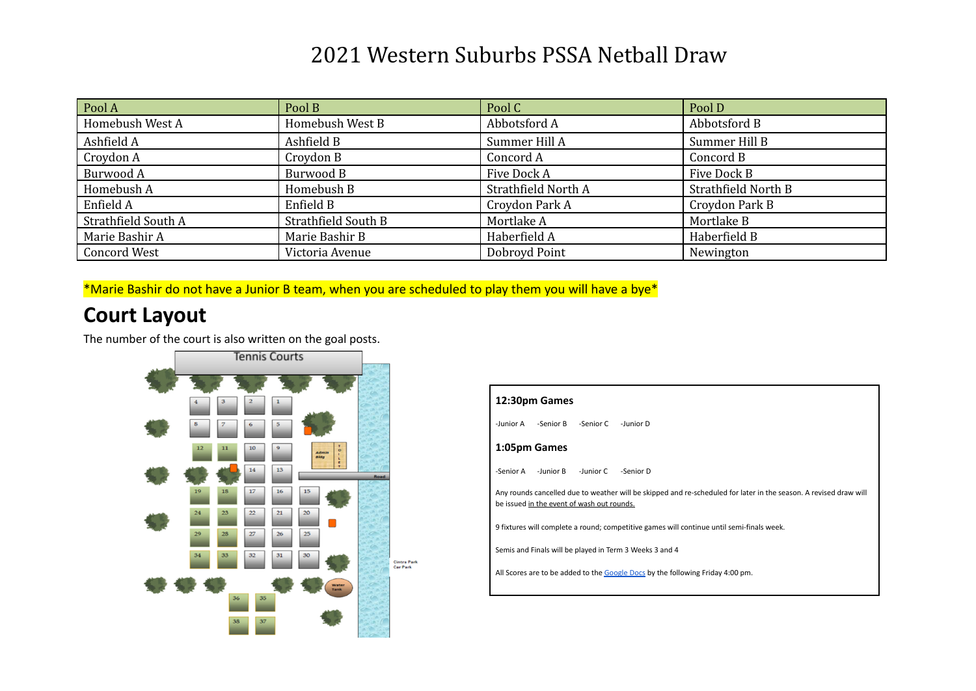| Pool A              | Pool B              | Pool C              | Pool D              |
|---------------------|---------------------|---------------------|---------------------|
| Homebush West A     | Homebush West B     | Abbotsford A        | Abbotsford B        |
| Ashfield A          | Ashfield B          | Summer Hill A       | Summer Hill B       |
| Croydon A           | Croydon B           | Concord A           | Concord B           |
| Burwood A           | Burwood B           | Five Dock A         | Five Dock B         |
| Homebush A          | Homebush B          | Strathfield North A | Strathfield North B |
| Enfield A           | Enfield B           | Croydon Park A      | Croydon Park B      |
| Strathfield South A | Strathfield South B | Mortlake A          | Mortlake B          |
| Marie Bashir A      | Marie Bashir B      | Haberfield A        | Haberfield B        |
| <b>Concord West</b> | Victoria Avenue     | Dobroyd Point       | Newington           |

\*Marie Bashir do not have a Junior B team, when you are scheduled to play them you will have a bye\*

#### **Court Layout**

The number of the court is also written on the goal posts.



| 12:30pm Games                                                                                                                                                   |  |  |  |  |  |  |  |  |  |  |
|-----------------------------------------------------------------------------------------------------------------------------------------------------------------|--|--|--|--|--|--|--|--|--|--|
| -Junior A<br>-Senior B<br>-Senior C<br>-Junior D                                                                                                                |  |  |  |  |  |  |  |  |  |  |
| 1:05pm Games                                                                                                                                                    |  |  |  |  |  |  |  |  |  |  |
| -Senior A<br>-Junior B<br>-Junior C<br>-Senior D                                                                                                                |  |  |  |  |  |  |  |  |  |  |
| Any rounds cancelled due to weather will be skipped and re-scheduled for later in the season. A revised draw will<br>be issued in the event of wash out rounds. |  |  |  |  |  |  |  |  |  |  |
| 9 fixtures will complete a round; competitive games will continue until semi-finals week.                                                                       |  |  |  |  |  |  |  |  |  |  |
| Semis and Finals will be played in Term 3 Weeks 3 and 4                                                                                                         |  |  |  |  |  |  |  |  |  |  |
| All Scores are to be added to the Google Docs by the following Friday 4:00 pm.                                                                                  |  |  |  |  |  |  |  |  |  |  |
|                                                                                                                                                                 |  |  |  |  |  |  |  |  |  |  |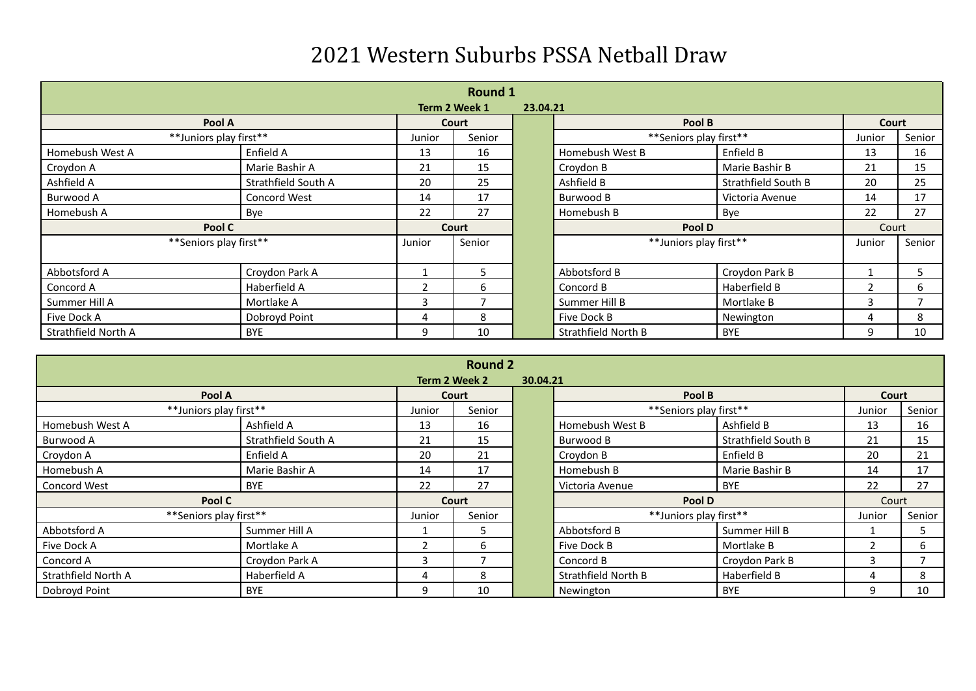| <b>Round 1</b>         |                     |        |               |          |                            |                     |                |        |  |  |
|------------------------|---------------------|--------|---------------|----------|----------------------------|---------------------|----------------|--------|--|--|
|                        |                     |        | Term 2 Week 1 | 23.04.21 |                            |                     |                |        |  |  |
| Pool A                 |                     |        | Court         |          | Pool B                     |                     | Court          |        |  |  |
| **Juniors play first** |                     | Junior | Senior        |          | **Seniors play first**     |                     | Junior         | Senior |  |  |
| Homebush West A        | Enfield A           | 13     | 16            |          | Homebush West B            | Enfield B           | 13             | 16     |  |  |
| Croydon A              | Marie Bashir A      | 21     | 15            |          | Croydon B                  | Marie Bashir B      | 21             | 15     |  |  |
| Ashfield A             | Strathfield South A | 20     | 25            |          | Ashfield B                 | Strathfield South B | 20             | 25     |  |  |
| Burwood A              | <b>Concord West</b> | 14     | 17            |          | Burwood B                  | Victoria Avenue     | 14             | 17     |  |  |
| Homebush A             | Bye                 | 22     | 27            |          | Homebush B                 | Bye                 | 22             | 27     |  |  |
| Pool C                 |                     | Court  |               |          | Pool D                     |                     | Court          |        |  |  |
| **Seniors play first** |                     | Junior | Senior        |          | **Juniors play first**     |                     | Junior         | Senior |  |  |
|                        |                     |        |               |          |                            |                     |                |        |  |  |
| Abbotsford A           | Croydon Park A      |        | 5             |          | Abbotsford B               | Croydon Park B      |                | 5      |  |  |
| Concord A              | Haberfield A        | 2      | 6             |          | Concord B                  | Haberfield B        | $\overline{2}$ | 6      |  |  |
| Summer Hill A          | Mortlake A          | ς      | ⇁             |          | Summer Hill B              | Mortlake B          | 3              |        |  |  |
| Five Dock A            | Dobroyd Point       | 4      | 8             |          | Five Dock B                | Newington           | 4              | 8      |  |  |
| Strathfield North A    | <b>BYE</b>          | 9      | 10            |          | <b>Strathfield North B</b> | <b>BYE</b>          | 9              | 10     |  |  |

|                        | <b>Round 2</b><br>Term 2 Week 2<br>30.04.21 |        |        |  |                        |                     |               |        |  |  |  |
|------------------------|---------------------------------------------|--------|--------|--|------------------------|---------------------|---------------|--------|--|--|--|
| Pool A                 |                                             |        | Court  |  | Pool B                 |                     | Court         |        |  |  |  |
| **Juniors play first** |                                             | Junior | Senior |  | **Seniors play first** |                     | Junior        | Senior |  |  |  |
| Homebush West A        | Ashfield A                                  | 13     | 16     |  | Homebush West B        | Ashfield B          | 13            | 16     |  |  |  |
| Burwood A              | Strathfield South A                         | 21     | 15     |  | Burwood B              | Strathfield South B | 21            | 15     |  |  |  |
| Croydon A              | Enfield A                                   | 20     | 21     |  | Croydon B              | Enfield B           | 20            | 21     |  |  |  |
| Homebush A             | Marie Bashir A                              | 14     | 17     |  | Homebush B             | Marie Bashir B      | 14            | 17     |  |  |  |
| Concord West           | <b>BYE</b>                                  | 22     | 27     |  | Victoria Avenue        | <b>BYE</b>          | 22            | 27     |  |  |  |
| Pool C                 |                                             | Court  |        |  | Pool D                 |                     | Court         |        |  |  |  |
| **Seniors play first** |                                             | Junior | Senior |  | **Juniors play first** |                     | Junior        | Senior |  |  |  |
| Abbotsford A           | Summer Hill A                               |        |        |  | Abbotsford B           | Summer Hill B       |               |        |  |  |  |
| Five Dock A            | Mortlake A                                  |        | 6      |  | Five Dock B            | Mortlake B          | $\mathcal{P}$ | 6      |  |  |  |
| Concord A              | Croydon Park A                              | 3      |        |  | Concord B              | Croydon Park B      | 3             |        |  |  |  |
| Strathfield North A    | Haberfield A                                | 4      | 8      |  | Strathfield North B    | Haberfield B        |               | 8      |  |  |  |
| Dobroyd Point          | <b>BYE</b>                                  | ٩      | 10     |  | Newington              | <b>BYE</b>          | q             | 10     |  |  |  |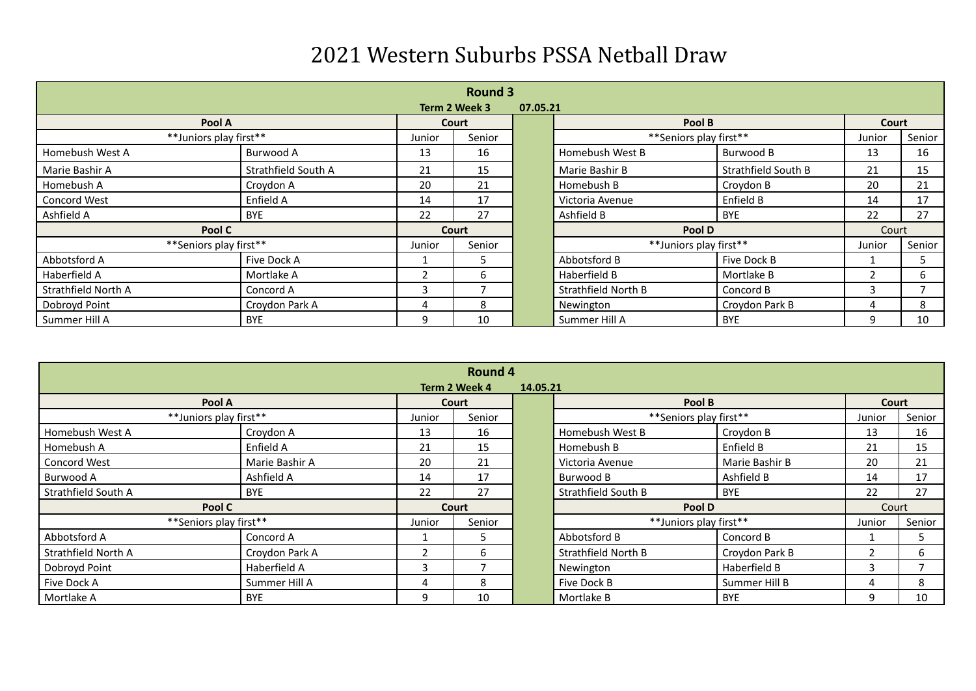|                        | <b>Round 3</b><br>Term 2 Week 3<br>07.05.21 |        |        |  |                        |                     |        |        |  |  |  |
|------------------------|---------------------------------------------|--------|--------|--|------------------------|---------------------|--------|--------|--|--|--|
| Pool A                 |                                             | Court  |        |  | Pool B                 |                     | Court  |        |  |  |  |
| **Juniors play first** |                                             | Junior | Senior |  | **Seniors play first** |                     | Junior | Senior |  |  |  |
| Homebush West A        | Burwood A                                   | 13     | 16     |  | Homebush West B        | Burwood B           | 13     | 16     |  |  |  |
| Marie Bashir A         | Strathfield South A                         | 21     | 15     |  | Marie Bashir B         | Strathfield South B | 21     | 15     |  |  |  |
| Homebush A             | Croydon A                                   | 20     | 21     |  | Homebush B             | Croydon B           | 20     | 21     |  |  |  |
| Concord West           | Enfield A                                   | 14     | 17     |  | Victoria Avenue        | Enfield B           | 14     | 17     |  |  |  |
| Ashfield A             | <b>BYE</b>                                  | 22     | 27     |  | Ashfield B             | BYE                 | 22     | 27     |  |  |  |
| Pool C                 |                                             | Court  |        |  | Pool D                 |                     | Court  |        |  |  |  |
| **Seniors play first** |                                             | Junior | Senior |  | **Juniors play first** |                     | Junior | Senior |  |  |  |
| Abbotsford A           | Five Dock A                                 |        | 5.     |  | Abbotsford B           | Five Dock B         |        |        |  |  |  |
| Haberfield A           | Mortlake A                                  |        | b      |  | Haberfield B           | Mortlake B          |        | 6      |  |  |  |
| Strathfield North A    | Concord A                                   | 3      |        |  | Strathfield North B    | Concord B           | 3      |        |  |  |  |
| Dobroyd Point          | Croydon Park A                              | 4      | 8      |  | Newington              | Croydon Park B      | 4      | 8      |  |  |  |
| Summer Hill A          | <b>BYE</b>                                  | 9      | 10     |  | Summer Hill A          | <b>BYE</b>          | 9      | 10     |  |  |  |

|                        | <b>Round 4</b> |               |          |  |                        |                |        |        |  |  |
|------------------------|----------------|---------------|----------|--|------------------------|----------------|--------|--------|--|--|
|                        |                | Term 2 Week 4 | 14.05.21 |  |                        |                |        |        |  |  |
| Pool A                 |                | Court         |          |  | Pool B                 |                | Court  |        |  |  |
| **Juniors play first** |                | Junior        | Senior   |  | **Seniors play first** |                | Junior | Senior |  |  |
| Homebush West A        | Croydon A      | 13            | 16       |  | Homebush West B        | Croydon B      | 13     | 16     |  |  |
| Homebush A             | Enfield A      | 21            | 15       |  | Homebush B             | Enfield B      | 21     | 15     |  |  |
| Concord West           | Marie Bashir A | 20            | 21       |  | Victoria Avenue        | Marie Bashir B | 20     | 21     |  |  |
| Burwood A              | Ashfield A     | 14            | 17       |  | Burwood B              | Ashfield B     | 14     | 17     |  |  |
| Strathfield South A    | <b>BYE</b>     | 22            | 27       |  | Strathfield South B    | <b>BYE</b>     | 22     | 27     |  |  |
| Pool C                 |                | Court         |          |  | Pool D                 |                | Court  |        |  |  |
| **Seniors play first** |                | Junior        | Senior   |  | **Juniors play first** |                | Junior | Senior |  |  |
| Abbotsford A           | Concord A      |               | 5.       |  | Abbotsford B           | Concord B      |        | 5      |  |  |
| Strathfield North A    | Croydon Park A |               | 6        |  | Strathfield North B    | Croydon Park B |        | 6      |  |  |
| Dobroyd Point          | Haberfield A   | 3             |          |  | Newington              | Haberfield B   | 3      |        |  |  |
| Five Dock A            | Summer Hill A  | 4             | 8        |  | Five Dock B            | Summer Hill B  |        | 8      |  |  |
| Mortlake A             | <b>BYE</b>     | 9             | 10       |  | Mortlake B             | <b>BYE</b>     | 9      | 10     |  |  |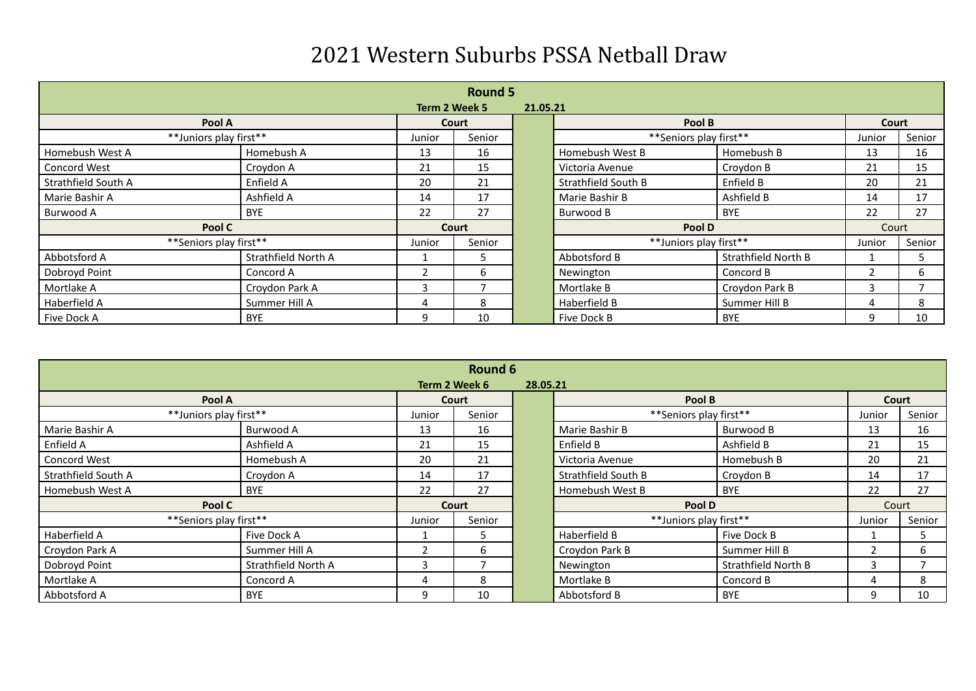|                        | <b>Round 5</b><br>Term 2 Week 5<br>21.05.21 |        |        |  |                        |                     |        |        |  |  |  |
|------------------------|---------------------------------------------|--------|--------|--|------------------------|---------------------|--------|--------|--|--|--|
| Pool A                 |                                             |        | Court  |  | Pool B                 |                     | Court  |        |  |  |  |
| **Juniors play first** |                                             | Junior | Senior |  | **Seniors play first** |                     | Junior | Senior |  |  |  |
| Homebush West A        | Homebush A                                  | 13     | 16     |  | Homebush West B        | Homebush B          | 13     | 16     |  |  |  |
| Concord West           | Croydon A                                   | 21     | 15     |  | Victoria Avenue        | Croydon B           | 21     | 15     |  |  |  |
| Strathfield South A    | Enfield A                                   | 20     | 21     |  | Strathfield South B    | Enfield B           | 20     | 21     |  |  |  |
| Marie Bashir A         | Ashfield A                                  | 14     | 17     |  | Marie Bashir B         | Ashfield B          | 14     | 17     |  |  |  |
| Burwood A              | <b>BYE</b>                                  | 22     | 27     |  | Burwood B              | <b>BYE</b>          | 22     | 27     |  |  |  |
| Pool C                 |                                             | Court  |        |  | Pool D                 |                     | Court  |        |  |  |  |
| **Seniors play first** |                                             | Junior | Senior |  | **Juniors play first** |                     | Junior | Senior |  |  |  |
| Abbotsford A           | Strathfield North A                         |        | 5      |  | Abbotsford B           | Strathfield North B |        | 5      |  |  |  |
| Dobroyd Point          | Concord A                                   |        | 6      |  | Newington              | Concord B           |        | 6.     |  |  |  |
| Mortlake A             | Croydon Park A                              |        |        |  | Mortlake B             | Croydon Park B      |        |        |  |  |  |
| Haberfield A           | Summer Hill A                               | 4      | 8      |  | Haberfield B           | Summer Hill B       | 4      | 8      |  |  |  |
| Five Dock A            | <b>BYE</b>                                  | q      | 10     |  | Five Dock B            | <b>BYE</b>          | q      | 10     |  |  |  |

|                        | <b>Round 6</b>      |        |               |          |                        |                     |        |        |  |  |  |
|------------------------|---------------------|--------|---------------|----------|------------------------|---------------------|--------|--------|--|--|--|
|                        |                     |        | Term 2 Week 6 | 28.05.21 |                        |                     |        |        |  |  |  |
| Pool A                 |                     | Court  |               |          | Pool B                 |                     | Court  |        |  |  |  |
| **Juniors play first** |                     | Junior | Senior        |          | **Seniors play first** |                     | Junior | Senior |  |  |  |
| Marie Bashir A         | Burwood A           | 13     | 16            |          | Marie Bashir B         | Burwood B           | 13     | 16     |  |  |  |
| Enfield A              | Ashfield A          | 21     | 15            |          | Enfield B              | Ashfield B          | 21     | 15     |  |  |  |
| Concord West           | Homebush A          | 20     | 21            |          | Victoria Avenue        | Homebush B          | 20     | 21     |  |  |  |
| Strathfield South A    | Croydon A           | 14     | 17            |          | Strathfield South B    | Croydon B           | 14     | 17     |  |  |  |
| Homebush West A        | <b>BYE</b>          | 22     | 27            |          | Homebush West B        | <b>BYE</b>          | 22     | 27     |  |  |  |
| Pool C                 |                     | Court  |               |          | Pool D                 |                     | Court  |        |  |  |  |
| **Seniors play first** |                     | Junior | Senior        |          | **Juniors play first** |                     | Junior | Senior |  |  |  |
| Haberfield A           | Five Dock A         |        | 5             |          | Haberfield B           | Five Dock B         |        | 5      |  |  |  |
| Croydon Park A         | Summer Hill A       |        | 6             |          | Croydon Park B         | Summer Hill B       | າ      | 6      |  |  |  |
| Dobroyd Point          | Strathfield North A |        |               |          | Newington              | Strathfield North B | 3      |        |  |  |  |
| Mortlake A             | Concord A           | 4      | 8             |          | Mortlake B             | Concord B           |        | 8      |  |  |  |
| Abbotsford A           | <b>BYE</b>          | 9      | 10            |          | Abbotsford B           | <b>BYE</b>          | 9      | 10     |  |  |  |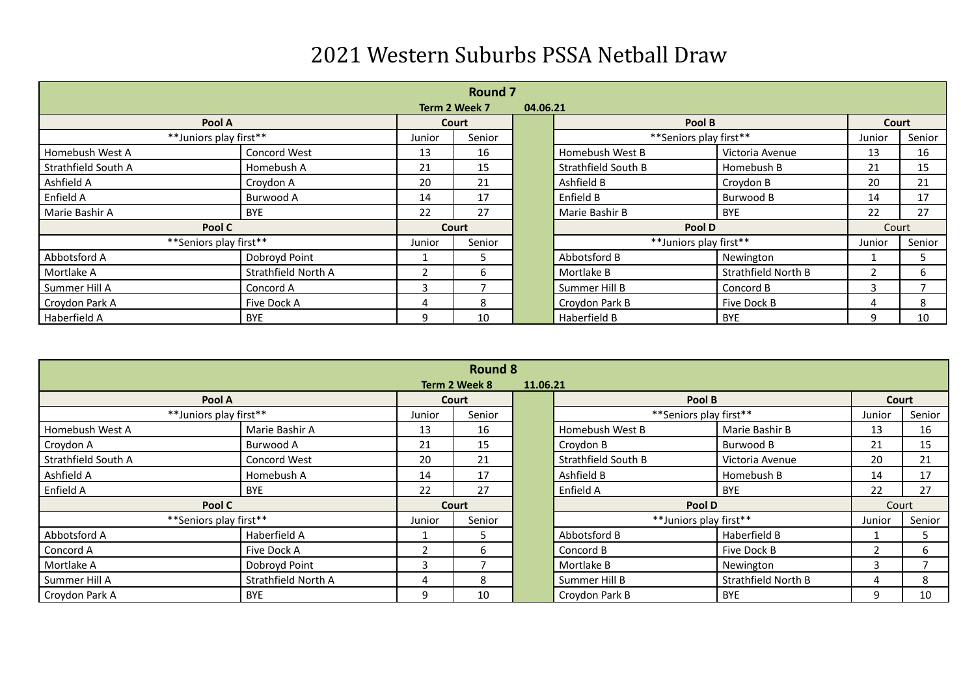|                        | <b>Round 7</b><br>Term 2 Week 7<br>04.06.21 |        |        |  |                        |                     |               |        |  |  |  |
|------------------------|---------------------------------------------|--------|--------|--|------------------------|---------------------|---------------|--------|--|--|--|
| Pool A                 |                                             |        | Court  |  | Pool B                 |                     | Court         |        |  |  |  |
| **Juniors play first** |                                             | Junior | Senior |  | **Seniors play first** |                     | Junior        | Senior |  |  |  |
| Homebush West A        | <b>Concord West</b>                         | 13     | 16     |  | Homebush West B        | Victoria Avenue     | 13            | 16     |  |  |  |
| Strathfield South A    | Homebush A                                  | 21     | 15     |  | Strathfield South B    | Homebush B          | 21            | 15     |  |  |  |
| Ashfield A             | Croydon A                                   | 20     | 21     |  | Ashfield B             | Croydon B           | 20            | 21     |  |  |  |
| Enfield A              | Burwood A                                   | 14     | 17     |  | Enfield B              | Burwood B           | 14            | 17     |  |  |  |
| Marie Bashir A         | <b>BYE</b>                                  | 22     | 27     |  | Marie Bashir B         | <b>BYE</b>          | 22            | 27     |  |  |  |
| Pool C                 |                                             | Court  |        |  | Pool D                 |                     | Court         |        |  |  |  |
| **Seniors play first** |                                             | Junior | Senior |  | **Juniors play first** |                     | Junior        | Senior |  |  |  |
| Abbotsford A           | Dobroyd Point                               |        | 5      |  | Abbotsford B           | Newington           |               | 5      |  |  |  |
| Mortlake A             | Strathfield North A                         |        | 6      |  | Mortlake B             | Strathfield North B | $\mathcal{P}$ | b      |  |  |  |
| Summer Hill A          | Concord A                                   | 3      |        |  | Summer Hill B          | Concord B           | 3             |        |  |  |  |
| Croydon Park A         | Five Dock A                                 | 4      | 8      |  | Croydon Park B         | Five Dock B         | 4             | 8      |  |  |  |
| Haberfield A           | <b>BYE</b>                                  | q      | 10     |  | Haberfield B           | <b>BYE</b>          | q             | 10     |  |  |  |

|                           | <b>Round 8</b>      |        |        |  |                        |                     |        |        |  |  |  |
|---------------------------|---------------------|--------|--------|--|------------------------|---------------------|--------|--------|--|--|--|
| Term 2 Week 8<br>11.06.21 |                     |        |        |  |                        |                     |        |        |  |  |  |
| Pool A                    |                     |        | Court  |  | Pool B                 |                     | Court  |        |  |  |  |
| **Juniors play first**    |                     | Junior | Senior |  | **Seniors play first** |                     | Junior | Senior |  |  |  |
| Homebush West A           | Marie Bashir A      | 13     | 16     |  | Homebush West B        | Marie Bashir B      | 13     | 16     |  |  |  |
| Croydon A                 | Burwood A           | 21     | 15     |  | Croydon B              | Burwood B           | 21     | 15     |  |  |  |
| Strathfield South A       | Concord West        | 20     | 21     |  | Strathfield South B    | Victoria Avenue     | 20     | 21     |  |  |  |
| Ashfield A                | Homebush A          | 14     | 17     |  | Ashfield B             | Homebush B          | 14     | 17     |  |  |  |
| Enfield A                 | <b>BYE</b>          | 22     | 27     |  | Enfield A              | <b>BYE</b>          | 22     | 27     |  |  |  |
| Pool C                    |                     | Court  |        |  | Pool D                 |                     | Court  |        |  |  |  |
| **Seniors play first**    |                     | Junior | Senior |  | **Juniors play first** |                     | Junior | Senior |  |  |  |
| Abbotsford A              | Haberfield A        |        | 5      |  | Abbotsford B           | Haberfield B        |        | 5      |  |  |  |
| Concord A                 | Five Dock A         |        | 6      |  | Concord B              | Five Dock B         | ົາ     | 6      |  |  |  |
| Mortlake A                | Dobroyd Point       | з      |        |  | Mortlake B             | Newington           | ς      |        |  |  |  |
| Summer Hill A             | Strathfield North A | 4      | 8      |  | Summer Hill B          | Strathfield North B |        | 8      |  |  |  |
| Croydon Park A            | <b>BYE</b>          | 9      | 10     |  | Croydon Park B         | <b>BYE</b>          | 9      | 10     |  |  |  |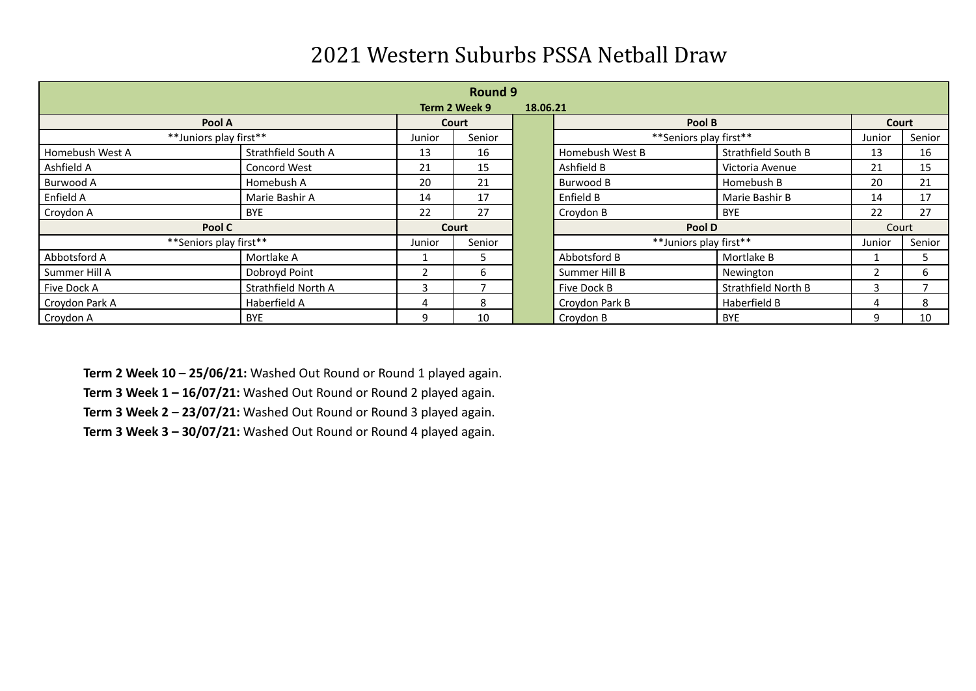|                        | <b>Round 9</b>      |        |               |          |                        |                     |        |        |  |  |  |
|------------------------|---------------------|--------|---------------|----------|------------------------|---------------------|--------|--------|--|--|--|
|                        |                     |        | Term 2 Week 9 | 18.06.21 |                        |                     |        |        |  |  |  |
| Pool A                 |                     |        | Court         |          | Pool B                 |                     | Court  |        |  |  |  |
| **Juniors play first** |                     | Junior | Senior        |          | **Seniors play first** |                     | Junior | Senior |  |  |  |
| Homebush West A        | Strathfield South A | 13     | 16            |          | Homebush West B        | Strathfield South B | 13     | 16     |  |  |  |
| Ashfield A             | Concord West        | 21     | 15            |          | Ashfield B             | Victoria Avenue     | 21     | 15     |  |  |  |
| Burwood A              | Homebush A          | 20     | 21            |          | Burwood B              | Homebush B          | 20     | 21     |  |  |  |
| Enfield A              | Marie Bashir A      | 14     | 17            |          | Enfield B              | Marie Bashir B      | 14     | 17     |  |  |  |
| Croydon A              | <b>BYE</b>          | 22     | 27            |          | Croydon B              | <b>BYE</b>          | 22     | 27     |  |  |  |
| Pool C                 |                     | Court  |               |          | Pool D                 |                     | Court  |        |  |  |  |
| **Seniors play first** |                     | Junior | Senior        |          | **Juniors play first** |                     | Junior | Senior |  |  |  |
| Abbotsford A           | Mortlake A          |        | 5             |          | Abbotsford B           | Mortlake B          |        | 5      |  |  |  |
| Summer Hill A          | Dobroyd Point       |        | 6             |          | Summer Hill B          | Newington           | 2      | 6      |  |  |  |
| Five Dock A            | Strathfield North A | 3      |               |          | Five Dock B            | Strathfield North B | 3      |        |  |  |  |
| Croydon Park A         | Haberfield A        | 4      | 8             |          | Croydon Park B         | Haberfield B        | 4      | 8      |  |  |  |
| Croydon A              | <b>BYE</b>          | 9      | 10            |          | Croydon B              | <b>BYE</b>          | q      | 10     |  |  |  |

**Term 2 Week 10 – 25/06/21:** Washed Out Round or Round 1 played again. **Term 3 Week 1 – 16/07/21:** Washed Out Round or Round 2 played again. **Term 3 Week 2 – 23/07/21:** Washed Out Round or Round 3 played again.

**Term 3 Week 3 – 30/07/21:** Washed Out Round or Round 4 played again.